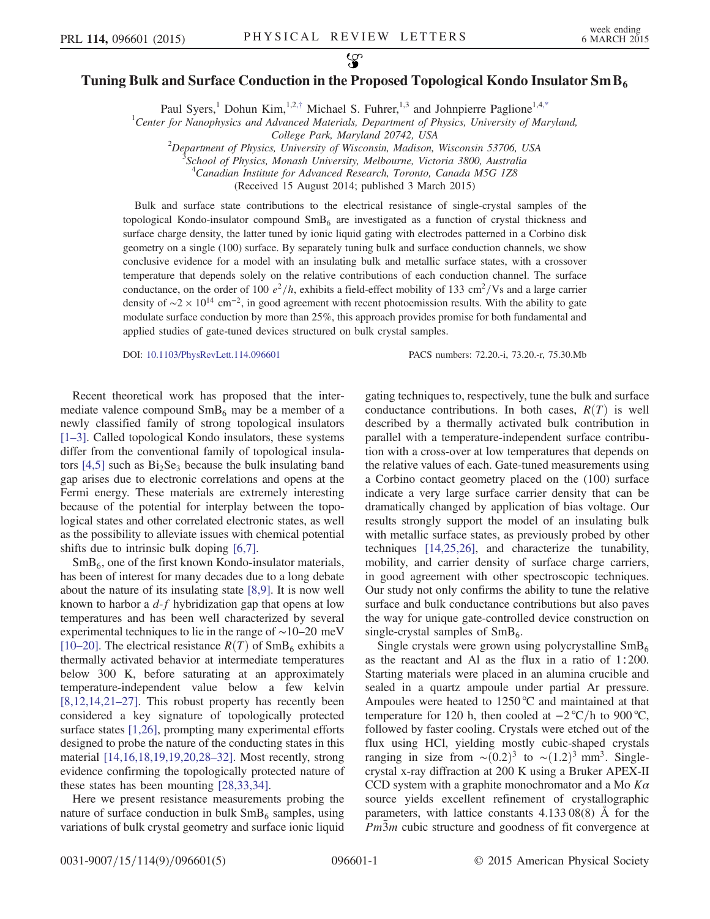## <span id="page-0-0"></span>Tuning Bulk and Surface Conduction in the Proposed Topological Kondo Insulator Sm B<sub>6</sub>

Paul Syers,<sup>1</sup> Dohun Kim,<sup>1,2,[†](#page-3-0)</sup> Michael S. Fuhrer,<sup>1,3</sup> and Johnpierre Paglione<sup>1,[4,\\*](#page-3-1)</sup>

<sup>1</sup>Center for Nanophysics and Advanced Materials, Department of Physics, University of Maryland,

College Park, Maryland 20742, USA<br><sup>2</sup> Department of Physics, University of Wisconsin, Madison

Department of Physics, University of Wisconsin, Madison, Wisconsin 53706, USA<br>3Sehool of Physics, Monach University, Malbourne, Victoria 3800, Australia

School of Physics, Monash University, Melbourne, Victoria 3800, Australia

<sup>4</sup> Canadian Institute for Advanced Research, Toronto, Canada M5G 1Z8

(Received 15 August 2014; published 3 March 2015)

Bulk and surface state contributions to the electrical resistance of single-crystal samples of the topological Kondo-insulator compound  $SmB<sub>6</sub>$  are investigated as a function of crystal thickness and surface charge density, the latter tuned by ionic liquid gating with electrodes patterned in a Corbino disk geometry on a single (100) surface. By separately tuning bulk and surface conduction channels, we show conclusive evidence for a model with an insulating bulk and metallic surface states, with a crossover temperature that depends solely on the relative contributions of each conduction channel. The surface conductance, on the order of 100  $e^2/h$ , exhibits a field-effect mobility of 133 cm<sup>2</sup>/Vs and a large carrier density of  $\sim$ 2 × 10<sup>14</sup> cm<sup>-2</sup>, in good agreement with recent photoemission results. With the ability to gate modulate surface conduction by more than 25%, this approach provides promise for both fundamental and applied studies of gate-tuned devices structured on bulk crystal samples.

DOI: [10.1103/PhysRevLett.114.096601](http://dx.doi.org/10.1103/PhysRevLett.114.096601) PACS numbers: 72.20.-i, 73.20.-r, 75.30.Mb

Recent theoretical work has proposed that the intermediate valence compound  $SmB<sub>6</sub>$  may be a member of a newly classified family of strong topological insulators [\[1](#page-3-2)–3]. Called topological Kondo insulators, these systems differ from the conventional family of topological insulators  $[4,5]$  such as  $Bi<sub>2</sub>Se<sub>3</sub>$  because the bulk insulating band gap arises due to electronic correlations and opens at the Fermi energy. These materials are extremely interesting because of the potential for interplay between the topological states and other correlated electronic states, as well as the possibility to alleviate issues with chemical potential shifts due to intrinsic bulk doping [\[6,7\].](#page-4-1)

 $SmB<sub>6</sub>$ , one of the first known Kondo-insulator materials, has been of interest for many decades due to a long debate about the nature of its insulating state [\[8,9\]](#page-4-2). It is now well known to harbor a  $d-f$  hybridization gap that opens at low temperatures and has been well characterized by several experimental techniques to lie in the range of ∼10–20 meV [\[10](#page-4-3)–20]. The electrical resistance  $R(T)$  of SmB<sub>6</sub> exhibits a thermally activated behavior at intermediate temperatures below 300 K, before saturating at an approximately temperature-independent value below a few kelvin [\[8,12,14,21](#page-4-2)–27]. This robust property has recently been considered a key signature of topologically protected surface states [\[1,26\],](#page-3-2) prompting many experimental efforts designed to probe the nature of the conducting states in this material [\[14,16,18,19,19,20,28](#page-4-4)–32]. Most recently, strong evidence confirming the topologically protected nature of these states has been mounting [\[28,33,34\]](#page-4-5).

Here we present resistance measurements probing the nature of surface conduction in bulk  $SmB<sub>6</sub>$  samples, using variations of bulk crystal geometry and surface ionic liquid gating techniques to, respectively, tune the bulk and surface conductance contributions. In both cases,  $R(T)$  is well described by a thermally activated bulk contribution in parallel with a temperature-independent surface contribution with a cross-over at low temperatures that depends on the relative values of each. Gate-tuned measurements using a Corbino contact geometry placed on the (100) surface indicate a very large surface carrier density that can be dramatically changed by application of bias voltage. Our results strongly support the model of an insulating bulk with metallic surface states, as previously probed by other techniques [\[14,25,26\],](#page-4-4) and characterize the tunability, mobility, and carrier density of surface charge carriers, in good agreement with other spectroscopic techniques. Our study not only confirms the ability to tune the relative surface and bulk conductance contributions but also paves the way for unique gate-controlled device construction on single-crystal samples of  $SmB<sub>6</sub>$ .

Single crystals were grown using polycrystalline  $SmB<sub>6</sub>$ as the reactant and Al as the flux in a ratio of 1∶200. Starting materials were placed in an alumina crucible and sealed in a quartz ampoule under partial Ar pressure. Ampoules were heated to 1250 °C and maintained at that temperature for 120 h, then cooled at  $-2^{\circ}C/h$  to 900 °C, followed by faster cooling. Crystals were etched out of the flux using HCl, yielding mostly cubic-shaped crystals ranging in size from  $\sim (0.2)^3$  to  $\sim (1.2)^3$  mm<sup>3</sup>. Singlecrystal x-ray diffraction at 200 K using a Bruker APEX-II CCD system with a graphite monochromator and a Mo  $K\alpha$ source yields excellent refinement of crystallographic parameters, with lattice constants 4.133 08(8) Å for the  $Pm3m$  cubic structure and goodness of fit convergence at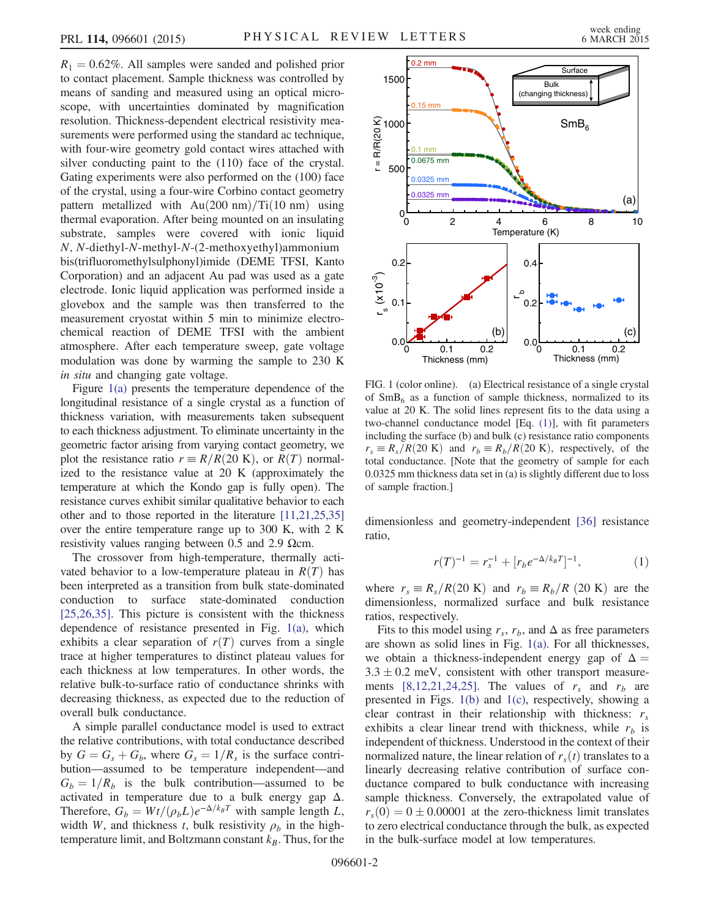$R_1 = 0.62\%$ . All samples were sanded and polished prior to contact placement. Sample thickness was controlled by means of sanding and measured using an optical microscope, with uncertainties dominated by magnification resolution. Thickness-dependent electrical resistivity measurements were performed using the standard ac technique, with four-wire geometry gold contact wires attached with silver conducting paint to the (110) face of the crystal. Gating experiments were also performed on the (100) face of the crystal, using a four-wire Corbino contact geometry pattern metallized with  $Au(200 \text{ nm})/Ti(10 \text{ nm})$  using thermal evaporation. After being mounted on an insulating substrate, samples were covered with ionic liquid N; N-diethyl-N-methyl-N-(2-methoxyethyl)ammonium bis(trifluoromethylsulphonyl)imide (DEME TFSI, Kanto Corporation) and an adjacent Au pad was used as a gate electrode. Ionic liquid application was performed inside a glovebox and the sample was then transferred to the measurement cryostat within 5 min to minimize electrochemical reaction of DEME TFSI with the ambient atmosphere. After each temperature sweep, gate voltage modulation was done by warming the sample to 230 K in situ and changing gate voltage.

Figure [1\(a\)](#page-1-0) presents the temperature dependence of the longitudinal resistance of a single crystal as a function of thickness variation, with measurements taken subsequent to each thickness adjustment. To eliminate uncertainty in the geometric factor arising from varying contact geometry, we plot the resistance ratio  $r = R/R(20 \text{ K})$ , or  $R(T)$  normalized to the resistance value at 20 K (approximately the temperature at which the Kondo gap is fully open). The resistance curves exhibit similar qualitative behavior to each other and to those reported in the literature [\[11,21,25,35\]](#page-4-6) over the entire temperature range up to 300 K, with 2 K resistivity values ranging between 0.5 and 2.9 Ωcm.

The crossover from high-temperature, thermally activated behavior to a low-temperature plateau in  $R(T)$  has been interpreted as a transition from bulk state-dominated conduction to surface state-dominated conduction [\[25,26,35\]](#page-4-7). This picture is consistent with the thickness dependence of resistance presented in Fig. [1\(a\),](#page-1-0) which exhibits a clear separation of  $r(T)$  curves from a single trace at higher temperatures to distinct plateau values for each thickness at low temperatures. In other words, the relative bulk-to-surface ratio of conductance shrinks with decreasing thickness, as expected due to the reduction of overall bulk conductance.

A simple parallel conductance model is used to extract the relative contributions, with total conductance described by  $G = G_s + G_b$ , where  $G_s = 1/R_s$  is the surface contribution—assumed to be temperature independent—and  $G_b = 1/R_b$  is the bulk contribution—assumed to be activated in temperature due to a bulk energy gap  $\Delta$ . Therefore,  $G_b = Wt/(\rho_b L)e^{-\Delta/k_B T}$  with sample length L, width W, and thickness t, bulk resistivity  $\rho_b$  in the hightemperature limit, and Boltzmann constant  $k_B$ . Thus, for the

<span id="page-1-0"></span>

FIG. 1 (color online). (a) Electrical resistance of a single crystal of  $SmB<sub>6</sub>$  as a function of sample thickness, normalized to its value at 20 K. The solid lines represent fits to the data using a two-channel conductance model [Eq. [\(1\)\]](#page-1-1), with fit parameters including the surface (b) and bulk (c) resistance ratio components  $r_s \equiv R_s/R(20 \text{ K})$  and  $r_b \equiv R_b/R(20 \text{ K})$ , respectively, of the total conductance. [Note that the geometry of sample for each 0.0325 mm thickness data set in (a) is slightly different due to loss of sample fraction.]

<span id="page-1-1"></span>dimensionless and geometry-independent [\[36\]](#page-4-8) resistance ratio,

$$
r(T)^{-1} = r_s^{-1} + [r_b e^{-\Delta/k_B T}]^{-1}, \tag{1}
$$

where  $r_s \equiv R_s/R(20 \text{ K})$  and  $r_b \equiv R_b/R$  (20 K) are the dimensionless, normalized surface and bulk resistance ratios, respectively.

Fits to this model using  $r_s$ ,  $r_b$ , and  $\Delta$  as free parameters are shown as solid lines in Fig. [1\(a\)](#page-1-0). For all thicknesses, we obtain a thickness-independent energy gap of  $\Delta =$  $3.3 \pm 0.2$  meV, consistent with other transport measure-ments [\[8,12,21,24,25\]](#page-4-2). The values of  $r_s$  and  $r_b$  are presented in Figs. [1\(b\)](#page-1-0) and [1\(c\)](#page-1-0), respectively, showing a clear contrast in their relationship with thickness:  $r_s$ exhibits a clear linear trend with thickness, while  $r_b$  is independent of thickness. Understood in the context of their normalized nature, the linear relation of  $r<sub>s</sub>(t)$  translates to a linearly decreasing relative contribution of surface conductance compared to bulk conductance with increasing sample thickness. Conversely, the extrapolated value of  $r_s(0) = 0 \pm 0.00001$  at the zero-thickness limit translates to zero electrical conductance through the bulk, as expected in the bulk-surface model at low temperatures.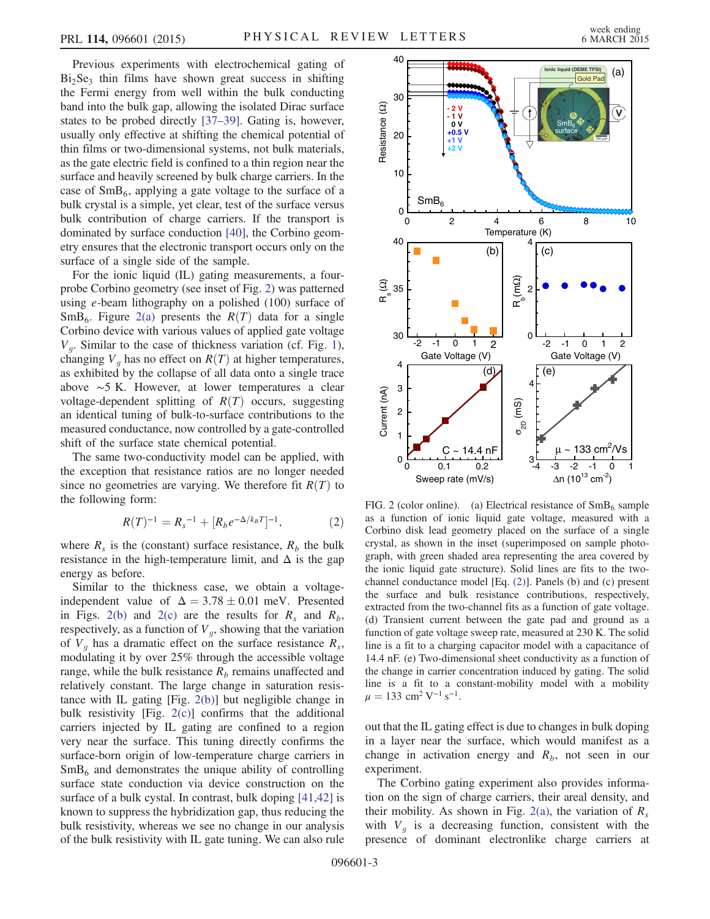Previous experiments with electrochemical gating of  $Bi<sub>2</sub>Se<sub>3</sub>$  thin films have shown great success in shifting the Fermi energy from well within the bulk conducting band into the bulk gap, allowing the isolated Dirac surface states to be probed directly [37–[39\].](#page-4-9) Gating is, however, usually only effective at shifting the chemical potential of thin films or two-dimensional systems, not bulk materials, as the gate electric field is confined to a thin region near the surface and heavily screened by bulk charge carriers. In the case of  $SmB_6$ , applying a gate voltage to the surface of a bulk crystal is a simple, yet clear, test of the surface versus bulk contribution of charge carriers. If the transport is dominated by surface conduction [\[40\],](#page-4-10) the Corbino geometry ensures that the electronic transport occurs only on the surface of a single side of the sample.

For the ionic liquid (IL) gating measurements, a fourprobe Corbino geometry (see inset of Fig. [2\)](#page-2-0) was patterned using e-beam lithography on a polished (100) surface of  $SmB<sub>6</sub>$ . Figure [2\(a\)](#page-2-0) presents the  $R(T)$  data for a single Corbino device with various values of applied gate voltage  $V_a$ . Similar to the case of thickness variation (cf. Fig. [1](#page-1-0)), changing  $V<sub>q</sub>$  has no effect on  $R(T)$  at higher temperatures, as exhibited by the collapse of all data onto a single trace above ∼5 K. However, at lower temperatures a clear voltage-dependent splitting of  $R(T)$  occurs, suggesting an identical tuning of bulk-to-surface contributions to the measured conductance, now controlled by a gate-controlled shift of the surface state chemical potential.

<span id="page-2-1"></span>The same two-conductivity model can be applied, with the exception that resistance ratios are no longer needed since no geometries are varying. We therefore fit  $R(T)$  to the following form:

$$
R(T)^{-1} = R_s^{-1} + [R_b e^{-\Delta/k_B T}]^{-1},\tag{2}
$$

where  $R_s$  is the (constant) surface resistance,  $R_b$  the bulk resistance in the high-temperature limit, and  $\Delta$  is the gap energy as before.

Similar to the thickness case, we obtain a voltageindependent value of  $\Delta = 3.78 \pm 0.01$  meV. Presented in Figs. [2\(b\)](#page-2-0) and [2\(c\)](#page-2-0) are the results for  $R_s$  and  $R_b$ , respectively, as a function of  $V_q$ , showing that the variation of  $V_q$  has a dramatic effect on the surface resistance  $R_s$ , modulating it by over 25% through the accessible voltage range, while the bulk resistance  $R_b$  remains unaffected and relatively constant. The large change in saturation resistance with IL gating [Fig. [2\(b\)](#page-2-0)] but negligible change in bulk resistivity [Fig. [2\(c\)\]](#page-2-0) confirms that the additional carriers injected by IL gating are confined to a region very near the surface. This tuning directly confirms the surface-born origin of low-temperature charge carriers in  $SmB<sub>6</sub>$  and demonstrates the unique ability of controlling surface state conduction via device construction on the surface of a bulk cystal. In contrast, bulk doping [\[41,42\]](#page-4-11) is known to suppress the hybridization gap, thus reducing the bulk resistivity, whereas we see no change in our analysis of the bulk resistivity with IL gate tuning. We can also rule

<span id="page-2-0"></span>

FIG. 2 (color online). (a) Electrical resistance of  $SmB_6$  sample as a function of ionic liquid gate voltage, measured with a Corbino disk lead geometry placed on the surface of a single crystal, as shown in the inset (superimposed on sample photograph, with green shaded area representing the area covered by the ionic liquid gate structure). Solid lines are fits to the twochannel conductance model [Eq. [\(2\)\]](#page-2-1). Panels (b) and (c) present the surface and bulk resistance contributions, respectively, extracted from the two-channel fits as a function of gate voltage. (d) Transient current between the gate pad and ground as a function of gate voltage sweep rate, measured at 230 K. The solid line is a fit to a charging capacitor model with a capacitance of 14.4 nF. (e) Two-dimensional sheet conductivity as a function of the change in carrier concentration induced by gating. The solid line is a fit to a constant-mobility model with a mobility  $\mu = 133$  cm<sup>2</sup> V<sup>-1</sup> s<sup>-1</sup>.

out that the IL gating effect is due to changes in bulk doping in a layer near the surface, which would manifest as a change in activation energy and  $R_b$ , not seen in our experiment.

The Corbino gating experiment also provides information on the sign of charge carriers, their areal density, and their mobility. As shown in Fig. [2\(a\),](#page-2-0) the variation of  $R_s$ with  $V_q$  is a decreasing function, consistent with the presence of dominant electronlike charge carriers at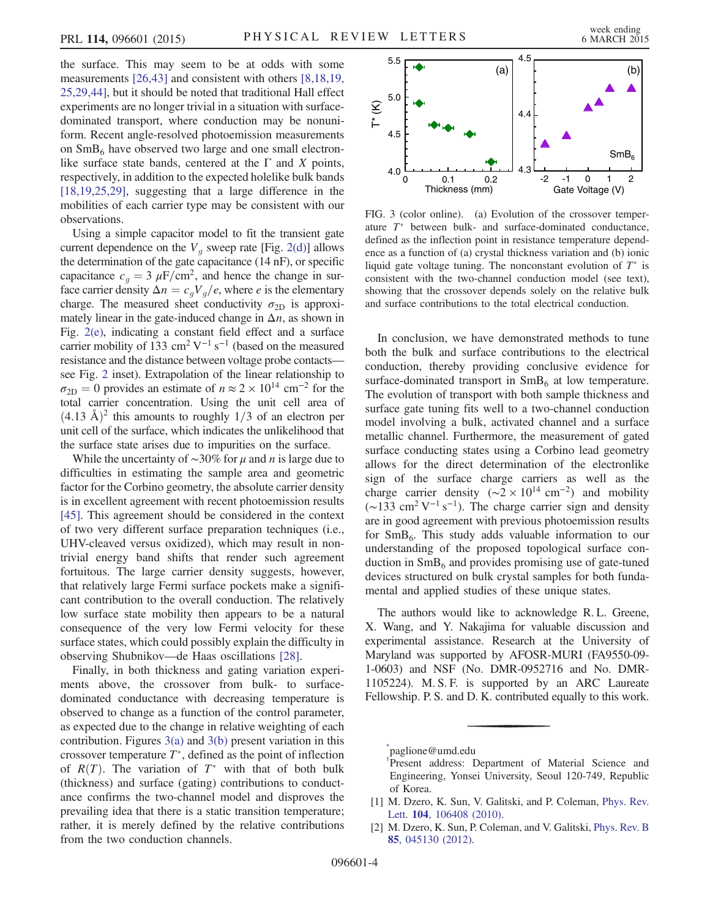the surface. This may seem to be at odds with some measurements [\[26,43\]](#page-4-12) and consistent with others [\[8,18,19,](#page-4-2) [25,29,44\]](#page-4-2), but it should be noted that traditional Hall effect experiments are no longer trivial in a situation with surfacedominated transport, where conduction may be nonuniform. Recent angle-resolved photoemission measurements on  $SmB<sub>6</sub>$  have observed two large and one small electronlike surface state bands, centered at the  $\Gamma$  and X points, respectively, in addition to the expected holelike bulk bands [\[18,19,25,29\],](#page-4-13) suggesting that a large difference in the mobilities of each carrier type may be consistent with our observations.

Using a simple capacitor model to fit the transient gate current dependence on the  $V<sub>q</sub>$  sweep rate [Fig. [2\(d\)](#page-2-0)] allows the determination of the gate capacitance (14 nF), or specific capacitance  $c_q = 3 \mu \text{F/cm}^2$ , and hence the change in surface carrier density  $\Delta n = c_g V_g/e$ , where *e* is the elementary charge. The measured sheet conductivity  $\sigma_{2D}$  is approximately linear in the gate-induced change in  $\Delta n$ , as shown in Fig. [2\(e\),](#page-2-0) indicating a constant field effect and a surface carrier mobility of 133 cm<sup>2</sup> V<sup>-1</sup> s<sup>-1</sup> (based on the measured resistance and the distance between voltage probe contacts see Fig. [2](#page-2-0) inset). Extrapolation of the linear relationship to  $\sigma_{2D} = 0$  provides an estimate of  $n \approx 2 \times 10^{14}$  cm<sup>-2</sup> for the total carrier concentration. Using the unit cell area of  $(4.13 \text{ Å})^2$  this amounts to roughly 1/3 of an electron per unit cell of the surface, which indicates the unlikelihood that the surface state arises due to impurities on the surface.

While the uncertainty of  $\sim$ 30% for  $\mu$  and n is large due to difficulties in estimating the sample area and geometric factor for the Corbino geometry, the absolute carrier density is in excellent agreement with recent photoemission results [\[45\]](#page-4-14). This agreement should be considered in the context of two very different surface preparation techniques (i.e., UHV-cleaved versus oxidized), which may result in nontrivial energy band shifts that render such agreement fortuitous. The large carrier density suggests, however, that relatively large Fermi surface pockets make a significant contribution to the overall conduction. The relatively low surface state mobility then appears to be a natural consequence of the very low Fermi velocity for these surface states, which could possibly explain the difficulty in observing Shubnikov—de Haas oscillations [\[28\]](#page-4-5).

Finally, in both thickness and gating variation experiments above, the crossover from bulk- to surfacedominated conductance with decreasing temperature is observed to change as a function of the control parameter, as expected due to the change in relative weighting of each contribution. Figures  $3(a)$  and  $3(b)$  present variation in this crossover temperature  $T^*$ , defined as the point of inflection of  $R(T)$ . The variation of  $T^*$  with that of both bulk (thickness) and surface (gating) contributions to conductance confirms the two-channel model and disproves the prevailing idea that there is a static transition temperature; rather, it is merely defined by the relative contributions from the two conduction channels.

<span id="page-3-3"></span>

FIG. 3 (color online). (a) Evolution of the crossover temperature  $T^*$  between bulk- and surface-dominated conductance, defined as the inflection point in resistance temperature dependence as a function of (a) crystal thickness variation and (b) ionic liquid gate voltage tuning. The nonconstant evolution of  $T^*$  is consistent with the two-channel conduction model (see text), showing that the crossover depends solely on the relative bulk and surface contributions to the total electrical conduction.

In conclusion, we have demonstrated methods to tune both the bulk and surface contributions to the electrical conduction, thereby providing conclusive evidence for surface-dominated transport in  $SmB<sub>6</sub>$  at low temperature. The evolution of transport with both sample thickness and surface gate tuning fits well to a two-channel conduction model involving a bulk, activated channel and a surface metallic channel. Furthermore, the measurement of gated surface conducting states using a Corbino lead geometry allows for the direct determination of the electronlike sign of the surface charge carriers as well as the charge carrier density ( $\sim$ 2 × 10<sup>14</sup> cm<sup>-2</sup>) and mobility  $({\sim}133 \text{ cm}^2 \text{ V}^{-1} \text{ s}^{-1})$ . The charge carrier sign and density are in good agreement with previous photoemission results for  $SmB<sub>6</sub>$ . This study adds valuable information to our understanding of the proposed topological surface conduction in  $SmB<sub>6</sub>$  and provides promising use of gate-tuned devices structured on bulk crystal samples for both fundamental and applied studies of these unique states.

The authors would like to acknowledge R. L. Greene, X. Wang, and Y. Nakajima for valuable discussion and experimental assistance. Research at the University of Maryland was supported by AFOSR-MURI (FA9550-09- 1-0603) and NSF (No. DMR-0952716 and No. DMR-1105224). M. S. F. is supported by an ARC Laureate Fellowship. P. S. and D. K. contributed equally to this work.

<span id="page-3-1"></span><span id="page-3-0"></span>[\\*](#page-0-0) paglione@umd.edu

[<sup>†</sup>](#page-0-0) Present address: Department of Material Science and Engineering, Yonsei University, Seoul 120-749, Republic of Korea.

<span id="page-3-2"></span><sup>[1]</sup> M. Dzero, K. Sun, V. Galitski, and P. Coleman, [Phys. Rev.](http://dx.doi.org/10.1103/PhysRevLett.104.106408) Lett. 104[, 106408 \(2010\)](http://dx.doi.org/10.1103/PhysRevLett.104.106408).

<sup>[2]</sup> M. Dzero, K. Sun, P. Coleman, and V. Galitski, *[Phys. Rev. B](http://dx.doi.org/10.1103/PhysRevB.85.045130)* 85[, 045130 \(2012\).](http://dx.doi.org/10.1103/PhysRevB.85.045130)